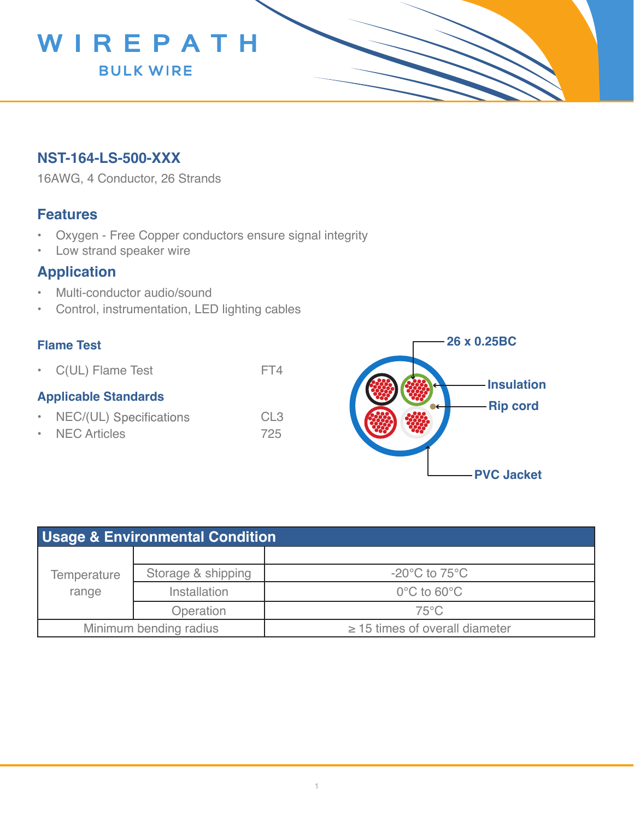

# **NST-164-LS-500-XXX**

16AWG, 4 Conductor, 26 Strands

### **Features**

- Oxygen Free Copper conductors ensure signal integrity
- Low strand speaker wire

# **Application**

- Multi-conductor audio/sound
- Control, instrumentation, LED lighting cables

#### **Flame Test**

• C(UL) Flame Test FT4

#### **Applicable Standards**

- NEC/(UL) Specifications CL3
- NEC Articles 725



| <b>Usage &amp; Environmental Condition</b> |                    |                                     |  |  |
|--------------------------------------------|--------------------|-------------------------------------|--|--|
| Temperature<br>range                       |                    |                                     |  |  |
|                                            | Storage & shipping | $-20^{\circ}$ C to 75 $^{\circ}$ C  |  |  |
|                                            | Installation       | $0^{\circ}$ C to 60 $^{\circ}$ C    |  |  |
|                                            | Operation          | $75^{\circ}$ C                      |  |  |
| Minimum bending radius                     |                    | $\geq$ 15 times of overall diameter |  |  |